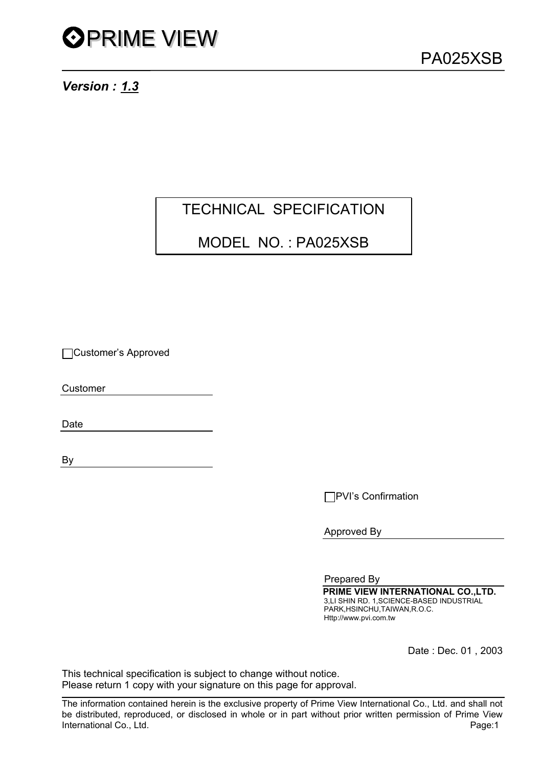*Version : 1.3*

### TECHNICAL SPECIFICATION

### MODEL NO. : PA025XSB

Customer's Approved

Customer

Date

By

**□PVI's Confirmation** 

Approved By

Prepared By  **PRIME VIEW INTERNATIONAL CO.,LTD.** 3,LI SHIN RD. 1,SCIENCE-BASED INDUSTRIAL PARK,HSINCHU,TAIWAN,R.O.C. Http://www.pvi.com.tw

Date : Dec. 01 , 2003

This technical specification is subject to change without notice. Please return 1 copy with your signature on this page for approval.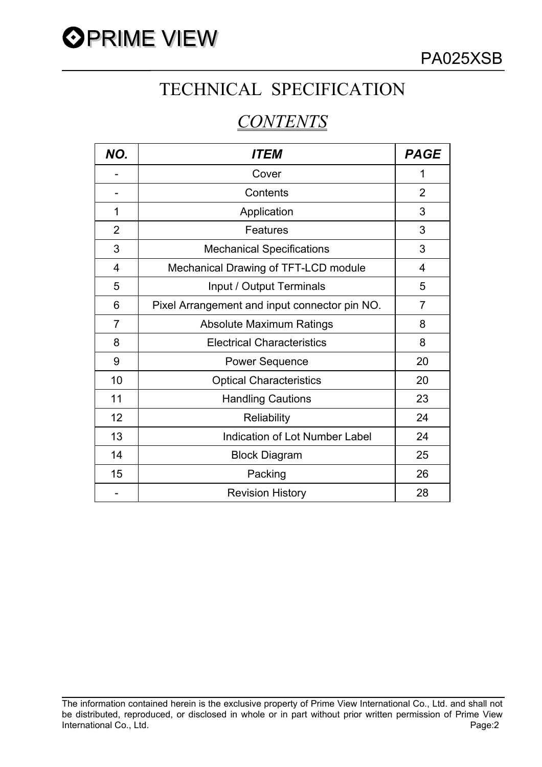

# TECHNICAL SPECIFICATION

# *CONTENTS*

| NO.            | <i><b>ITEM</b></i>                            | <b>PAGE</b>    |
|----------------|-----------------------------------------------|----------------|
|                | Cover                                         | 1              |
|                | Contents                                      | $\overline{2}$ |
| 1              | Application                                   | 3              |
| $\overline{2}$ | Features                                      | 3              |
| 3              | <b>Mechanical Specifications</b>              | 3              |
| 4              | Mechanical Drawing of TFT-LCD module          | $\overline{4}$ |
| 5              | Input / Output Terminals                      | 5              |
| 6              | Pixel Arrangement and input connector pin NO. | 7              |
| 7              | <b>Absolute Maximum Ratings</b>               | 8              |
| 8              | <b>Electrical Characteristics</b>             | 8              |
| 9              | <b>Power Sequence</b>                         | 20             |
| 10             | <b>Optical Characteristics</b>                | 20             |
| 11             | <b>Handling Cautions</b>                      | 23             |
| 12             | Reliability                                   | 24             |
| 13             | Indication of Lot Number Label                | 24             |
| 14             | <b>Block Diagram</b>                          | 25             |
| 15             | Packing                                       | 26             |
|                | <b>Revision History</b>                       | 28             |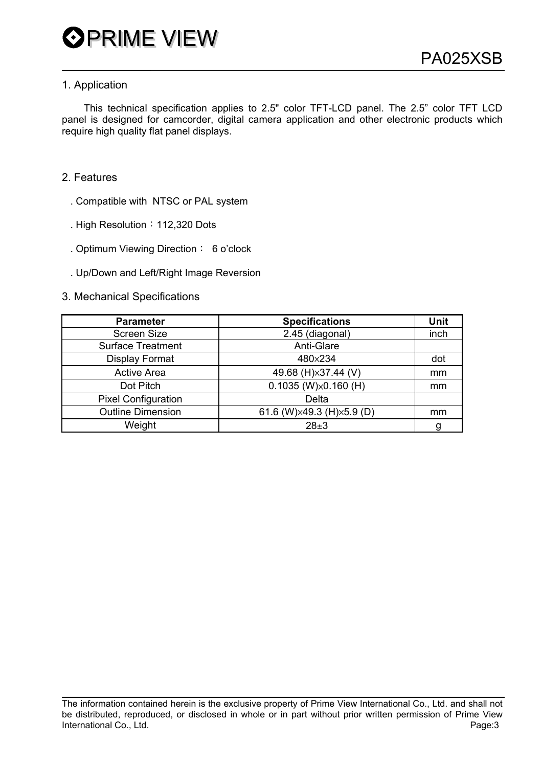### 1. Application

 This technical specification applies to 2.5" color TFT-LCD panel. The 2.5" color TFT LCD panel is designed for camcorder, digital camera application and other electronic products which require high quality flat panel displays.

- 2. Features
	- . Compatible with NTSC or PAL system
	- . High Resolution: 112,320 Dots
	- . Optimum Viewing Direction: 6 o'clock
	- . Up/Down and Left/Right Image Reversion
- 3. Mechanical Specifications

| <b>Parameter</b>           | <b>Specifications</b>           | <b>Unit</b> |
|----------------------------|---------------------------------|-------------|
| <b>Screen Size</b>         | 2.45 (diagonal)                 | inch        |
| <b>Surface Treatment</b>   | Anti-Glare                      |             |
| <b>Display Format</b>      | 480×234                         | dot         |
| <b>Active Area</b>         | 49.68 (H) x 37.44 (V)           | mm          |
| Dot Pitch                  | $0.1035$ (W) $\times$ 0.160 (H) | mm          |
| <b>Pixel Configuration</b> | Delta                           |             |
| <b>Outline Dimension</b>   | 61.6 (W) × 49.3 (H) × 5.9 (D)   | mm          |
| Weight                     | $28 \pm 3$                      | g           |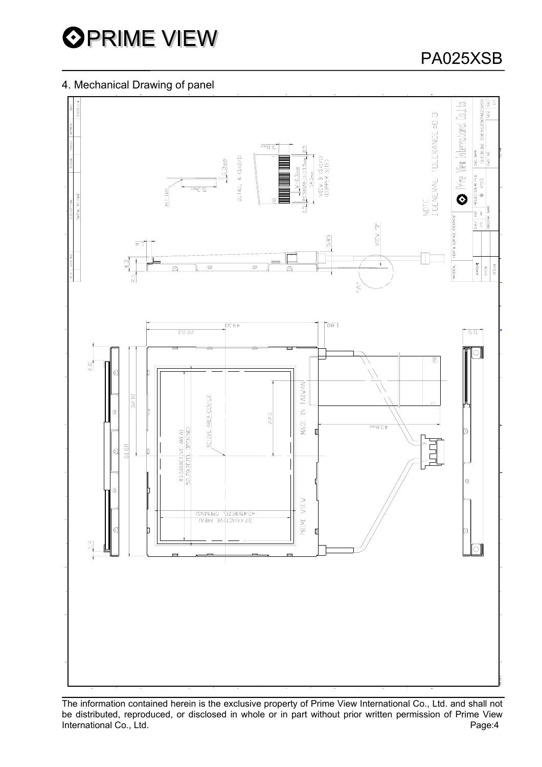

### 4. Mechanical Drawing of panel



The information contained herein is the exclusive property of Prime View International Co., Ltd. and shall not be distributed, reproduced, or disclosed in whole or in part without prior written permission of Prime View International Co., Ltd. **Page:4**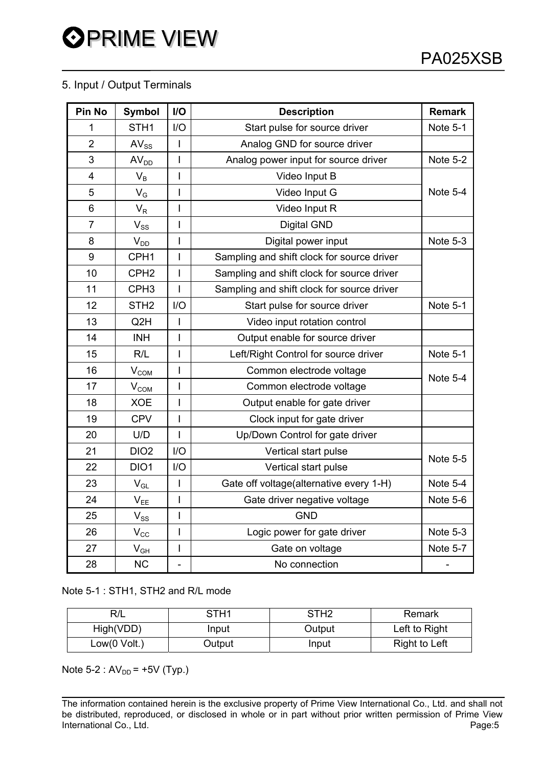### 5. Input / Output Terminals

| Pin No         | <b>Symbol</b>             | $1/O$                    | <b>Description</b>                         | <b>Remark</b>   |
|----------------|---------------------------|--------------------------|--------------------------------------------|-----------------|
| 1              | STH <sub>1</sub>          | I/O                      | Start pulse for source driver              | Note 5-1        |
| $\overline{2}$ | $AV_{SS}$                 | I                        | Analog GND for source driver               |                 |
| 3              | AV <sub>DD</sub>          | $\mathsf{l}$             | Analog power input for source driver       | Note 5-2        |
| 4              | $V_B$                     | I                        | Video Input B                              |                 |
| 5              | $V_G$                     | $\overline{1}$           | Video Input G                              | <b>Note 5-4</b> |
| 6              | $\mathsf{V}_{\mathsf{R}}$ | $\overline{1}$           | Video Input R                              |                 |
| $\overline{7}$ | $\rm V_{SS}$              | I                        | <b>Digital GND</b>                         |                 |
| 8              | $V_{DD}$                  | $\overline{1}$           | Digital power input                        | Note 5-3        |
| 9              | CPH <sub>1</sub>          | $\overline{1}$           | Sampling and shift clock for source driver |                 |
| 10             | CPH <sub>2</sub>          | I                        | Sampling and shift clock for source driver |                 |
| 11             | CPH <sub>3</sub>          | I                        | Sampling and shift clock for source driver |                 |
| 12             | STH <sub>2</sub>          | I/O                      | Start pulse for source driver              | Note 5-1        |
| 13             | Q <sub>2</sub> H          | $\overline{\phantom{a}}$ | Video input rotation control               |                 |
| 14             | <b>INH</b>                | $\overline{1}$           | Output enable for source driver            |                 |
| 15             | R/L                       | $\overline{1}$           | Left/Right Control for source driver       | Note 5-1        |
| 16             | V <sub>COM</sub>          | I                        | Common electrode voltage                   | Note 5-4        |
| 17             | V <sub>COM</sub>          | I                        | Common electrode voltage                   |                 |
| 18             | <b>XOE</b>                | $\overline{1}$           | Output enable for gate driver              |                 |
| 19             | <b>CPV</b>                | I                        | Clock input for gate driver                |                 |
| 20             | U/D                       | $\overline{1}$           | Up/Down Control for gate driver            |                 |
| 21             | DIO <sub>2</sub>          | I/O                      | Vertical start pulse                       | <b>Note 5-5</b> |
| 22             | DIO1                      | I/O                      | Vertical start pulse                       |                 |
| 23             | $V_{GL}$                  | $\overline{1}$           | Gate off voltage(alternative every 1-H)    | Note 5-4        |
| 24             | $V_{EE}$                  | I                        | Gate driver negative voltage               | Note 5-6        |
| 25             | $V_{SS}$                  | $\mathsf{I}$             | <b>GND</b>                                 |                 |
| 26             | $V_{\rm CC}$              | $\overline{\phantom{a}}$ | Logic power for gate driver                | Note 5-3        |
| 27             | $V_{GH}$                  | $\overline{\phantom{a}}$ | Gate on voltage                            | Note 5-7        |
| 28             | <b>NC</b>                 | $\overline{\phantom{a}}$ | No connection                              |                 |

Note 5-1 : STH1, STH2 and R/L mode

| R/L             | STH <sub>1</sub> | STH <sub>2</sub> | Remark        |
|-----------------|------------------|------------------|---------------|
| High(VDD)       | Input            | Output           | Left to Right |
| Low $(0$ Volt.) | Output           | Input            | Right to Left |

Note  $5-2$ :  $AV_{DD} = +5V$  (Typ.)

The information contained herein is the exclusive property of Prime View International Co., Ltd. and shall not be distributed, reproduced, or disclosed in whole or in part without prior written permission of Prime View International Co., Ltd. **Page:5**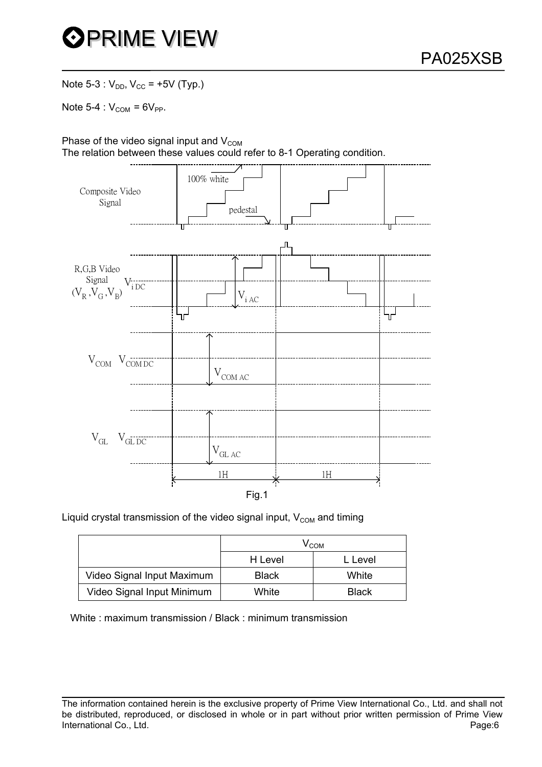

Note 5-3 :  $V_{DD}$ ,  $V_{CC}$  = +5V (Typ.)

Note  $5-4$  :  $V_{COM} = 6V_{PP}$ .

Phase of the video signal input and  $V_{COM}$ The relation between these values could refer to 8-1 Operating condition.



Liquid crystal transmission of the video signal input,  $V_{COM}$  and timing

|                            |              | V <sub>сом</sub> |  |
|----------------------------|--------------|------------------|--|
|                            | H Level      |                  |  |
| Video Signal Input Maximum | <b>Black</b> | White            |  |
| Video Signal Input Minimum | White        | <b>Black</b>     |  |

White : maximum transmission / Black : minimum transmission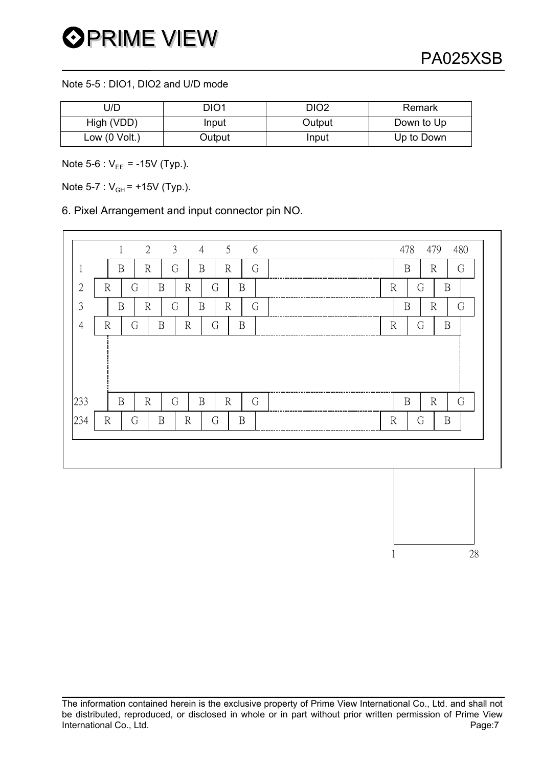$\frac{1}{28}$ 

Note 5-5 : DIO1, DIO2 and U/D mode

| U/D             | DIO1   | DIO <sub>2</sub> | Remark     |
|-----------------|--------|------------------|------------|
| High (VDD)      | Input  | Output           | Down to Up |
| Low $(0$ Volt.) | Output | Input            | Up to Down |

Note  $5-6$  :  $V_{EE} = -15V$  (Typ.).

Note 5-7 :  $V_{GH}$  = +15V (Typ.).

6. Pixel Arrangement and input connector pin NO.

|                |                                  | 5                                      |                                   |
|----------------|----------------------------------|----------------------------------------|-----------------------------------|
|                | $\overline{2}$<br>$\mathbf{1}$   | $\mathfrak{Z}$<br>$\overline{4}$<br>6  | 478<br>479<br>480                 |
| $\mathbf 1$    | $\mathbb{R}$<br>$\mathbf B$      | G<br>G<br>$\, {\bf B}$<br>$\mathbb{R}$ | $\mathbf B$<br>$\mathbb{R}$<br>G  |
| $\overline{2}$ | $\mathbb{R}$<br>G<br>B           | $\, {\bf B}$<br>$\mathbb{R}$<br>G      | G<br>$\mathbb{R}$<br>$\, {\bf B}$ |
| 3              | $\rm R$<br>$\mathbf B$           | $\, {\bf B}$<br>$\mathbb{R}$<br>G<br>G | $\mathbf B$<br>$\mathbb{R}$<br>G  |
| $\overline{4}$ | G<br>$\, {\bf B}$<br>$\mathbb R$ | G<br>$\, {\bf B}$<br>$\mathbb{R}$      | $\, {\bf B}$<br>$\mathbb{R}$<br>G |
| 233            | $\mathbb{R}$<br>$\mathbf B$      | $\, {\bf B}$<br>$\mathbb{R}$<br>G<br>G | $\mathbb{R}$<br>G<br>$\mathbf B$  |
| 234            | $\mathbb{R}$<br>G<br>$\mathbf B$ | G<br>$\, {\bf B}$<br>$\mathbb{R}$      | $\mathbb{R}$<br>$\, {\bf B}$<br>G |
|                |                                  |                                        |                                   |
|                |                                  |                                        |                                   |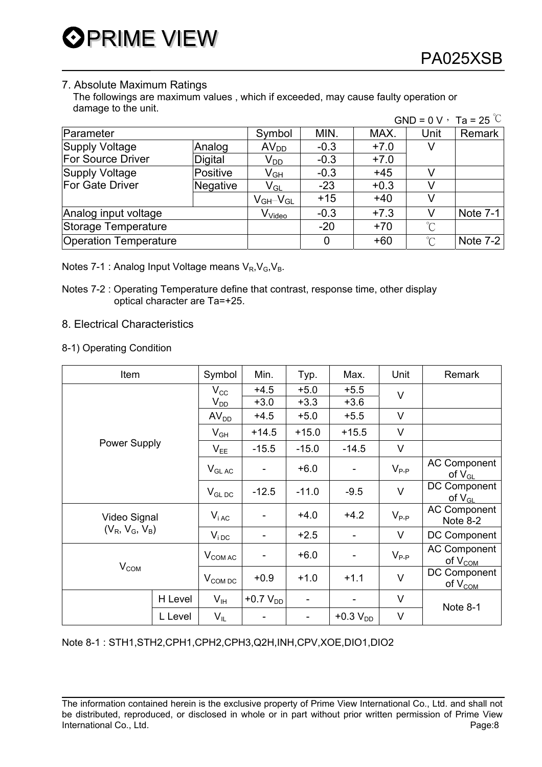### 7. Absolute Maximum Ratings

 The followings are maximum values , which if exceeded, may cause faulty operation or damage to the unit.  $GND = 0$  V  $T_a = 25$   $\degree$ 

|                              |                |                               |        |        | $GND = UV$ , $1a = 25$ |            |
|------------------------------|----------------|-------------------------------|--------|--------|------------------------|------------|
| Parameter                    |                | Symbol                        | MIN.   | MAX.   | Unit                   | Remark     |
| <b>Supply Voltage</b>        | Analog         | AV <sub>DD</sub>              | $-0.3$ | $+7.0$ | v                      |            |
| <b>For Source Driver</b>     | <b>Digital</b> | V <sub>DD</sub>               | $-0.3$ | $+7.0$ |                        |            |
| Supply Voltage               | Positive       | V <sub>GH</sub>               | $-0.3$ | $+45$  |                        |            |
| For Gate Driver              | Negative       | $\mathsf{V}_{\mathsf{GL}}$    | $-23$  | $+0.3$ |                        |            |
|                              |                | $V_{GH}$ - $V_{GL}$           | $+15$  | $+40$  | V                      |            |
| Analog input voltage         |                | $\mathsf{V}_{\textsf{Video}}$ | $-0.3$ | $+7.3$ | V                      | Note $7-1$ |
| Storage Temperature          |                |                               | $-20$  | $+70$  | $\rm ^{\circ}C$        |            |
| <b>Operation Temperature</b> |                |                               |        | $+60$  | $\rm ^{\circ}C$        | Note $7-2$ |

Notes 7-1 : Analog Input Voltage means  $V_R$ ,  $V_G$ ,  $V_B$ .

Notes 7-2 : Operating Temperature define that contrast, response time, other display optical character are Ta=+25.

#### 8. Electrical Characteristics

8-1) Operating Condition

| Item                                                  |         | Symbol                   | Min.             | Typ.             | Max.             | Unit      | Remark                              |
|-------------------------------------------------------|---------|--------------------------|------------------|------------------|------------------|-----------|-------------------------------------|
|                                                       |         | $V_{\rm CC}$<br>$V_{DD}$ | $+4.5$<br>$+3.0$ | $+5.0$<br>$+3.3$ | $+5.5$<br>$+3.6$ | $\vee$    |                                     |
|                                                       |         | AV <sub>DD</sub>         | $+4.5$           | $+5.0$           | $+5.5$           | $\vee$    |                                     |
|                                                       |         | $V_{GH}$                 | $+14.5$          | $+15.0$          | $+15.5$          | $\vee$    |                                     |
| <b>Power Supply</b>                                   |         | $V_{EE}$                 | $-15.5$          | $-15.0$          | $-14.5$          | V         |                                     |
|                                                       |         | $V_{GLAC}$               |                  | $+6.0$           |                  | $V_{P-P}$ | <b>AC Component</b><br>of $V_{GL}$  |
|                                                       |         | $V_{GL,DC}$              | $-12.5$          | $-11.0$          | $-9.5$           | $\vee$    | DC Component<br>of $V_{GL}$         |
| Video Signal<br>$(V_R, V_G, V_B)$<br>V <sub>COM</sub> |         | $V_{iAC}$                |                  | $+4.0$           | $+4.2$           | $V_{P-P}$ | <b>AC Component</b><br>Note 8-2     |
|                                                       |         | $V_{iDC}$                |                  | $+2.5$           |                  | V         | DC Component                        |
|                                                       |         | $V_{COMAC}$              |                  | $+6.0$           |                  | $V_{P-P}$ | <b>AC Component</b><br>of $V_{COM}$ |
|                                                       |         | $V_{COM\,DC}$            | $+0.9$           | $+1.0$           | $+1.1$           | $\vee$    | DC Component<br>of $V_{COM}$        |
|                                                       | H Level | $V_{IH}$                 | +0.7 $V_{DD}$    | ۰                |                  | V         |                                     |
|                                                       | L Level | $V_{IL}$                 | ۰                |                  | +0.3 $V_{DD}$    | V         | Note 8-1                            |

Note 8-1 : STH1,STH2,CPH1,CPH2,CPH3,Q2H,INH,CPV,XOE,DIO1,DIO2

The information contained herein is the exclusive property of Prime View International Co., Ltd. and shall not be distributed, reproduced, or disclosed in whole or in part without prior written permission of Prime View International Co., Ltd. Page:8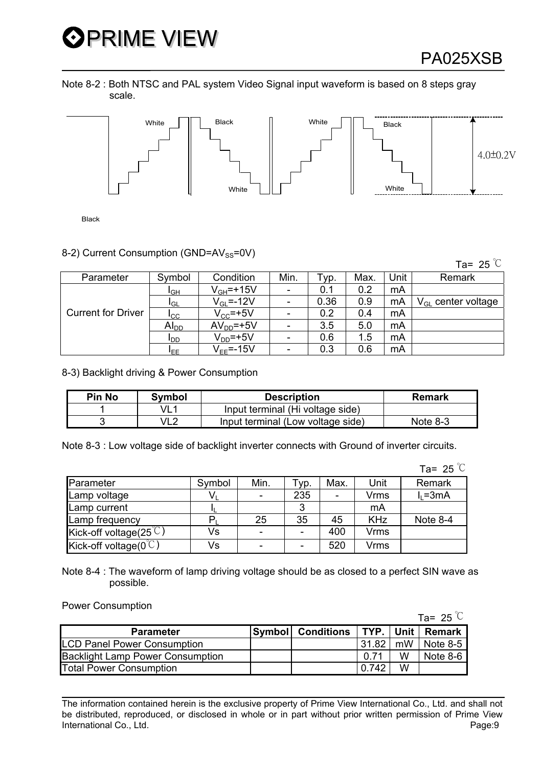# **OPRIME VIEW**

Note 8-2 : Both NTSC and PAL system Video Signal input waveform is based on 8 steps gray scale.



Black

#### 8-2) Current Consumption (GND=AV<sub>SS</sub>=0V)

Ta= 25  $\degree$ C

| Parameter                 | Symbol          | Condition       | Min.                     | Typ. | Max. | Unit | Remark                  |
|---------------------------|-----------------|-----------------|--------------------------|------|------|------|-------------------------|
|                           | IGН             | $V_{GH}$ =+15V  | $\blacksquare$           | 0.1  | 0.2  | mA   |                         |
|                           | I <sub>GL</sub> | $V_{GL} = -12V$ | $\overline{\phantom{a}}$ | 0.36 | 0.9  | mA   | $V_{GL}$ center voltage |
| <b>Current for Driver</b> | ICC             | $V_{CC}$ =+5V   | -                        | 0.2  | 0.4  | mA   |                         |
|                           | $Al_{DD}$       | $AVDD=+5V$      | $\overline{\phantom{a}}$ | 3.5  | 5.0  | mA   |                         |
|                           | <b>I</b> DD     | $VDD=+5V$       | $\overline{\phantom{0}}$ | 0.6  | 1.5  | mA   |                         |
|                           | IEE.            | $V_{FF}$ =-15V  | $\overline{\phantom{a}}$ | 0.3  | 0.6  | mA   |                         |

8-3) Backlight driving & Power Consumption

| <b>Pin No</b> | Symbol          | <b>Description</b>                | Remark     |
|---------------|-----------------|-----------------------------------|------------|
|               | VL <sup>1</sup> | Input terminal (Hi voltage side)  |            |
|               | VL2             | Input terminal (Low voltage side) | Note $8-3$ |

Note 8-3 : Low voltage side of backlight inverter connects with Ground of inverter circuits.

|                                    |        |      |      |                          |             | Ta= 25 $\degree$ C |
|------------------------------------|--------|------|------|--------------------------|-------------|--------------------|
| Parameter                          | Symbol | Min. | Tур. | Max.                     | Unit        | Remark             |
| Lamp voltage                       |        |      | 235  | $\overline{\phantom{a}}$ | <b>Vrms</b> | $I_1 = 3mA$        |
| Lamp current                       |        |      | 3    |                          | mA          |                    |
| Lamp frequency                     |        | 25   | 35   | 45                       | <b>KHz</b>  | Note 8-4           |
| Kick-off voltage(25 $\degree$ C)   | Vs     |      |      | 400                      | <b>Vrms</b> |                    |
| Kick-off voltage( $0^{\degree}$ C) | Vs     |      |      | 520                      | <b>Vrms</b> |                    |

Note 8-4 : The waveform of lamp driving voltage should be as closed to a perfect SIN wave as possible.

Power Consumption

|                                         |                          |             |    | Ta= 25 $\degree$ C |
|-----------------------------------------|--------------------------|-------------|----|--------------------|
| <b>Parameter</b>                        | <b>Symbol</b> Conditions | TYP.   Unit |    | Remark             |
| <b>LCD Panel Power Consumption</b>      |                          | 31.82       | mW | Note $8-5$         |
| <b>Backlight Lamp Power Consumption</b> |                          | 0.71        | W  | Note $8-6$         |
| <b>Total Power Consumption</b>          |                          | 0.742       | W  |                    |

The information contained herein is the exclusive property of Prime View International Co., Ltd. and shall not be distributed, reproduced, or disclosed in whole or in part without prior written permission of Prime View International Co., Ltd. **Page:9**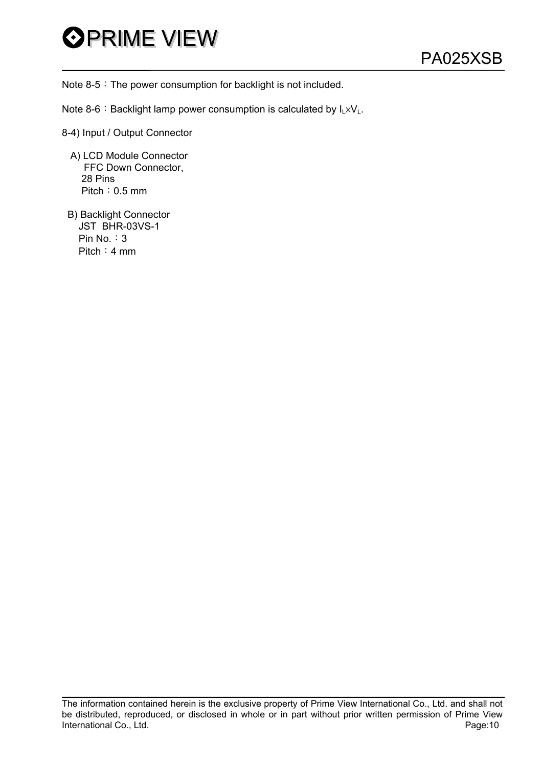

Note  $8-5$ : The power consumption for backlight is not included.

- Note 8-6: Backlight lamp power consumption is calculated by  $I_L \times V_L$ .
- 8-4) Input / Output Connector
	- A) LCD Module Connector FFC Down Connector, 28 Pins Pitch: 0.5 mm
	- B) Backlight Connector JST BHR-03VS-1 Pin  $No. : 3$ Pitch: 4 mm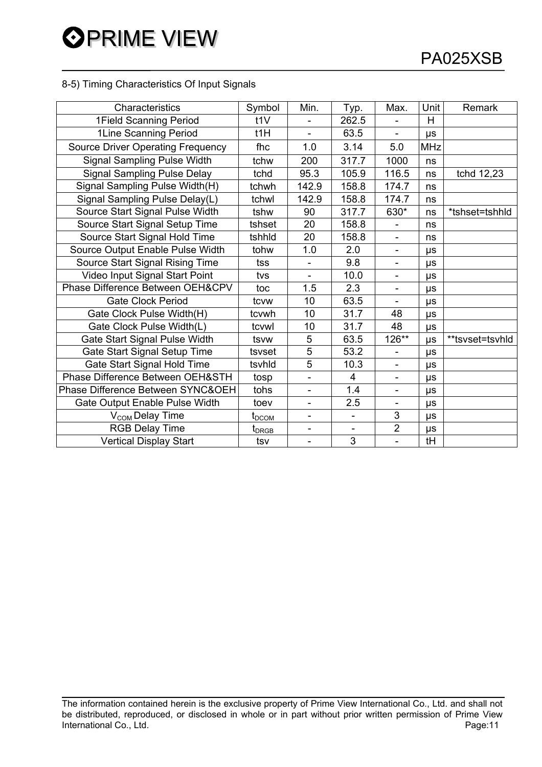#### 8-5) Timing Characteristics Of Input Signals

| Characteristics                          | Symbol                     | Min.                     | Typ.                     | Max.                     | Unit       | Remark          |
|------------------------------------------|----------------------------|--------------------------|--------------------------|--------------------------|------------|-----------------|
| 1Field Scanning Period                   | t1V                        |                          | 262.5                    |                          | H          |                 |
| 1Line Scanning Period                    | $t$ 1H                     | $\overline{\phantom{0}}$ | 63.5                     | ÷,                       | μs         |                 |
| <b>Source Driver Operating Frequency</b> | fhc                        | 1.0                      | 3.14                     | 5.0                      | <b>MHz</b> |                 |
| Signal Sampling Pulse Width              | tchw                       | 200                      | 317.7                    | 1000                     | ns         |                 |
| <b>Signal Sampling Pulse Delay</b>       | tchd                       | 95.3                     | 105.9                    | 116.5                    | ns         | tchd 12,23      |
| Signal Sampling Pulse Width(H)           | tchwh                      | 142.9                    | 158.8                    | 174.7                    | ns         |                 |
| Signal Sampling Pulse Delay(L)           | tchwl                      | 142.9                    | 158.8                    | 174.7                    | ns         |                 |
| Source Start Signal Pulse Width          | tshw                       | 90                       | 317.7                    | 630*                     | ns         | *tshset=tshhld  |
| Source Start Signal Setup Time           | tshset                     | 20                       | 158.8                    |                          | ns         |                 |
| Source Start Signal Hold Time            | tshhld                     | 20                       | 158.8                    | $\blacksquare$           | ns         |                 |
| Source Output Enable Pulse Width         | tohw                       | 1.0                      | 2.0                      | $\overline{\phantom{a}}$ | $\mu s$    |                 |
| Source Start Signal Rising Time          | tss                        |                          | 9.8                      |                          | μs         |                 |
| Video Input Signal Start Point           | tvs                        | ÷,                       | 10.0                     | $\overline{\phantom{0}}$ | μs         |                 |
| Phase Difference Between OEH&CPV         | toc                        | 1.5                      | 2.3                      | $\overline{\phantom{a}}$ | $\mu s$    |                 |
| <b>Gate Clock Period</b>                 | tcvw                       | 10                       | 63.5                     | $\blacksquare$           | μs         |                 |
| Gate Clock Pulse Width(H)                | tcvwh                      | 10                       | 31.7                     | 48                       | μs         |                 |
| Gate Clock Pulse Width(L)                | tcvwl                      | 10                       | 31.7                     | 48                       | $\mu s$    |                 |
| Gate Start Signal Pulse Width            | tsvw                       | 5                        | 63.5                     | 126**                    | μs         | **tsvset=tsvhld |
| Gate Start Signal Setup Time             | tsvset                     | 5                        | 53.2                     | $\overline{\phantom{0}}$ | μs         |                 |
| Gate Start Signal Hold Time              | tsvhld                     | $\overline{5}$           | 10.3                     |                          | μs         |                 |
| Phase Difference Between OEH&STH         | tosp                       | ÷,                       | $\overline{4}$           | ÷,                       | μs         |                 |
| Phase Difference Between SYNC&OEH        | tohs                       | $\overline{\phantom{0}}$ | 1.4                      | $\overline{\phantom{a}}$ | μs         |                 |
| Gate Output Enable Pulse Width           | toev                       | $\overline{\phantom{0}}$ | 2.5                      |                          | μs         |                 |
| V <sub>COM</sub> Delay Time              | $\textbf{t}_{\text{DCOM}}$ | -                        |                          | 3                        | $\mu s$    |                 |
| <b>RGB Delay Time</b>                    | t <sub>DRGB</sub>          | -                        | $\overline{\phantom{a}}$ | $\overline{2}$           | $\mu s$    |                 |
| <b>Vertical Display Start</b>            | tsv                        | $\blacksquare$           | 3                        | $\blacksquare$           | tH         |                 |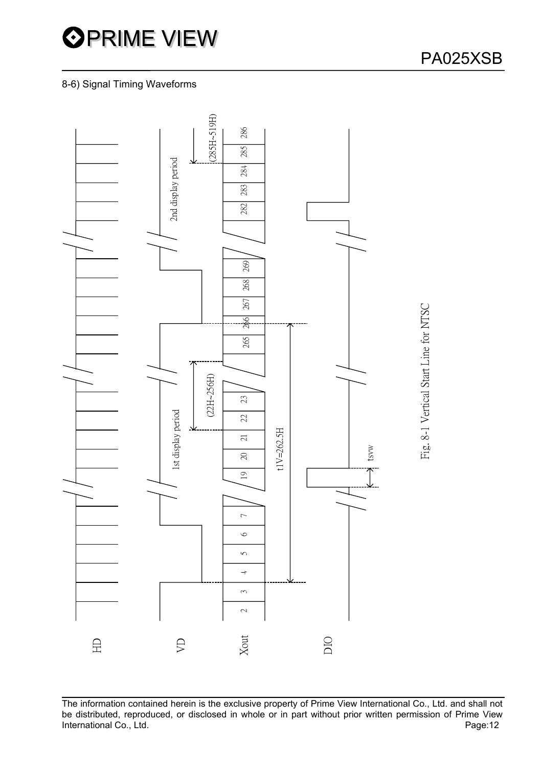

### 8-6) Signal Timing Waveforms



The information contained herein is the exclusive property of Prime View International Co., Ltd. and shall not be distributed, reproduced, or disclosed in whole or in part without prior written permission of Prime View<br>Page:12 International Co., Ltd.

Fig. 8-1 Vertical Start Line for NTSC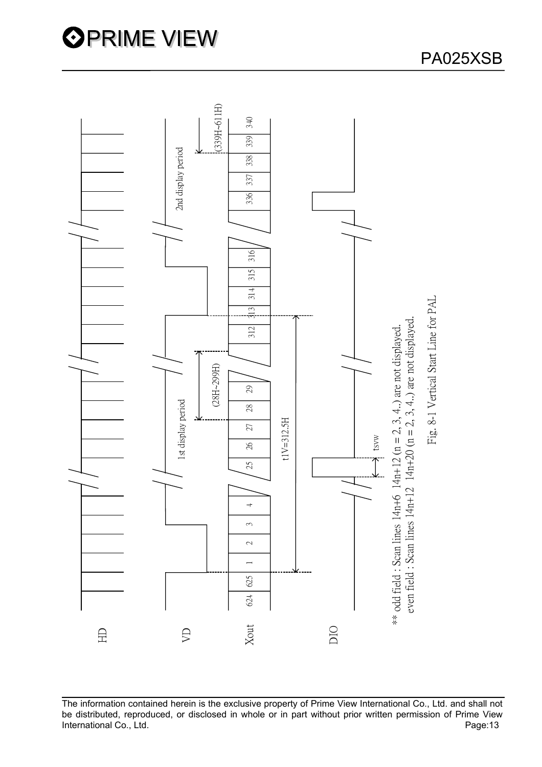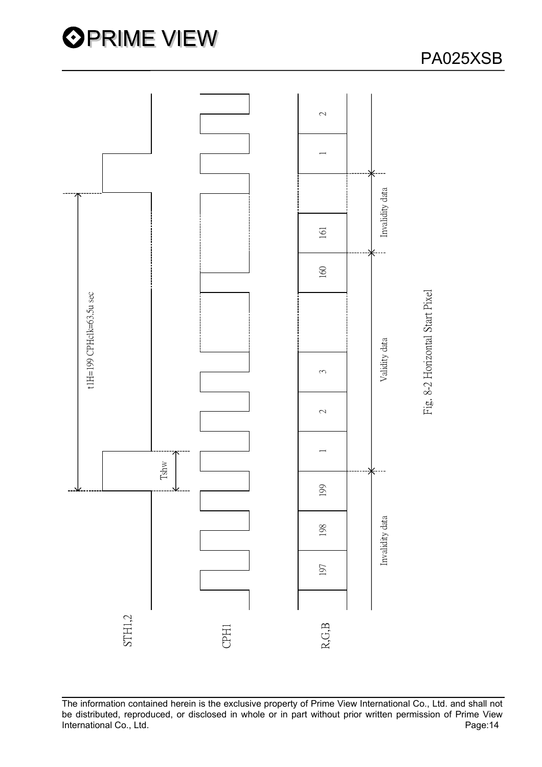



PA025XSB

The information contained herein is the exclusive property of Prime View International Co., Ltd. and shall not be distributed, reproduced, or disclosed in whole or in part without prior written permission of Prime View<br>Page:14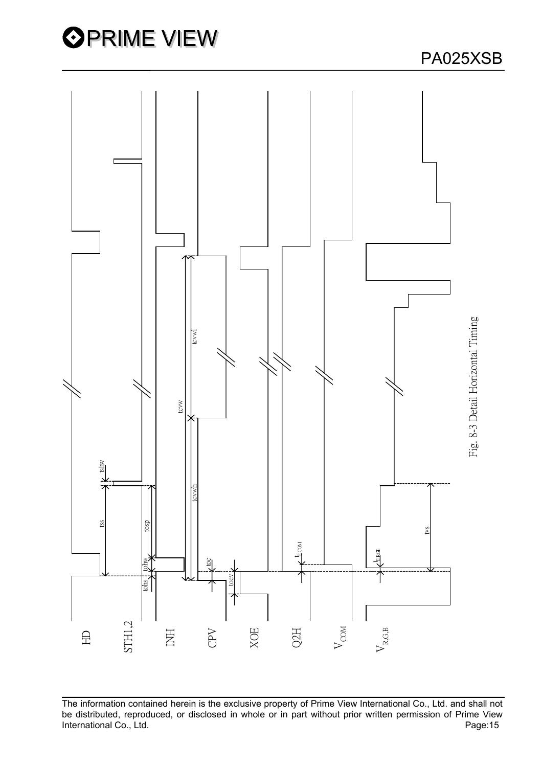

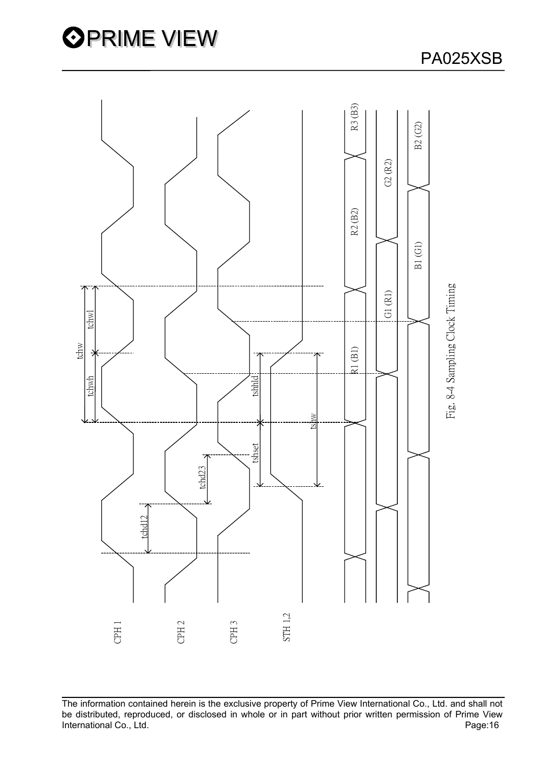



The information contained herein is the exclusive property of Prime View International Co., Ltd. and shall not be distributed, reproduced, or disclosed in whole or in part without prior written permission of Prime View<br>Page:16<br>Page:16

### PA025XSB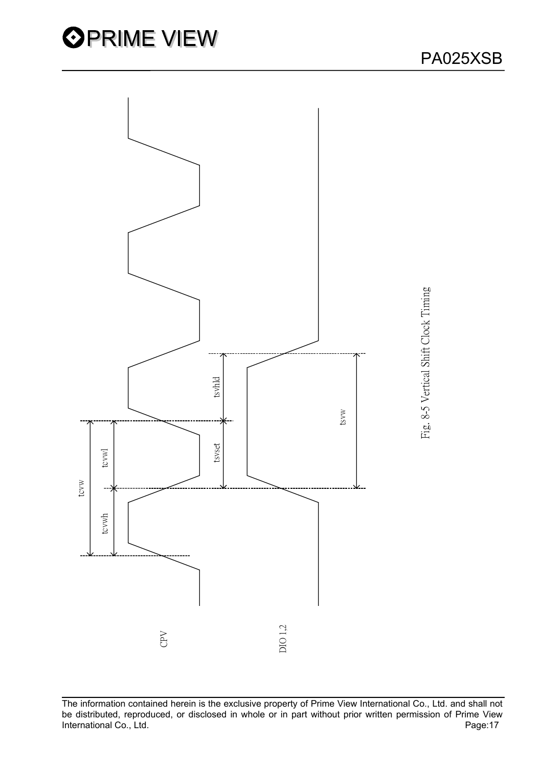

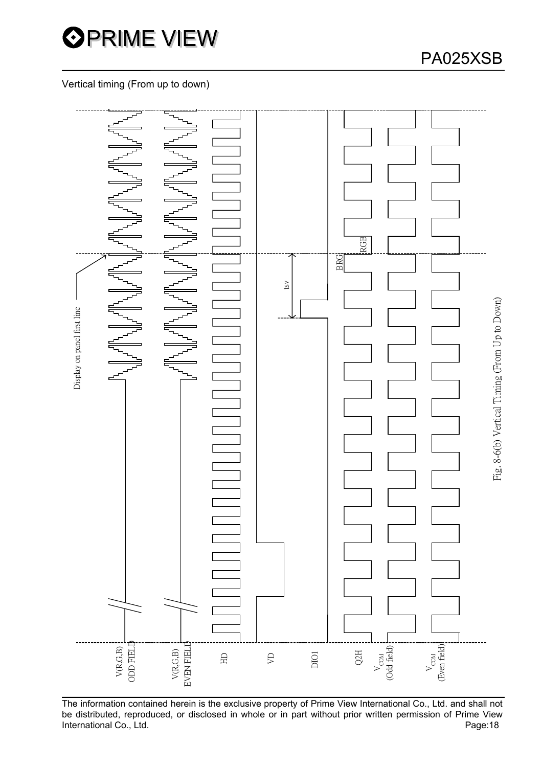

### Vertical timing (From up to down)



The information contained herein is the exclusive property of Prime View International Co., Ltd. and shall not be distributed, reproduced, or disclosed in whole or in part without prior written permission of Prime View International Co., Ltd. **Page:18**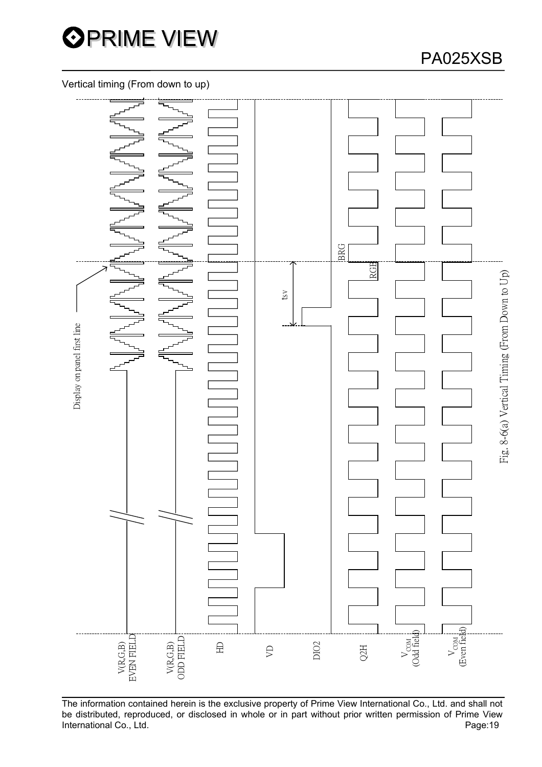

## PA025XSB

### Vertical timing (From down to up)



The information contained herein is the exclusive property of Prime View International Co., Ltd. and shall not be distributed, reproduced, or disclosed in whole or in part without prior written permission of Prime View International Co., Ltd. **Page:19**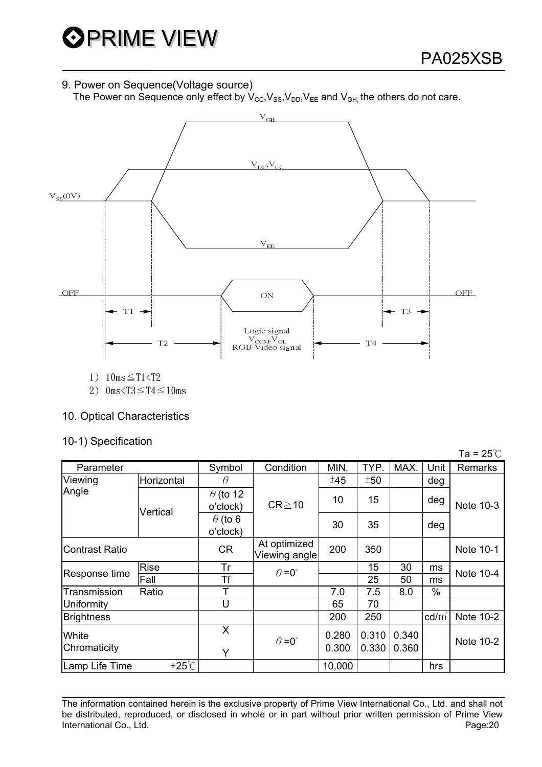### 9. Power on Sequence(Voltage source)

The Power on Sequence only effect by  $V_{\text{CC}}$ ,  $V_{\text{SS}}$ ,  $V_{\text{DD}}$ ,  $V_{\text{EE}}$  and  $V_{\text{GH}}$ , the others do not care.



1)  $10ms \leq T1 < T2$ 

2)  $0 \text{ms} < T3 \leq T4 \leq 10 \text{ms}$ 

### 10. Optical Characteristics

### 10-1) Specification

|                       |                 |                             |                               |        |       |       |                 | Ta = $25^{\circ}$ C |  |
|-----------------------|-----------------|-----------------------------|-------------------------------|--------|-------|-------|-----------------|---------------------|--|
| Parameter             |                 | Symbol                      | Condition                     | MIN.   | TYP.  | MAX.  | Unit            | <b>Remarks</b>      |  |
| Viewing               | Horizontal      | $\theta$                    |                               | ±45    | ±50   |       | deg             |                     |  |
| Angle                 | Vertical        | $\theta$ (to 12<br>o'clock) | $CR \ge 10$                   | 10     | 15    |       | deg             | Note 10-3           |  |
|                       |                 | $\theta$ (to 6<br>o'clock)  |                               | 30     | 35    |       | deg             |                     |  |
| <b>Contrast Ratio</b> |                 | <b>CR</b>                   | At optimized<br>Viewing angle | 200    | 350   |       |                 | Note 10-1           |  |
| Response time         | <b>Rise</b>     | Tr                          | $\theta = 0^{\circ}$          |        | 15    | 30    | ms              | Note 10-4           |  |
|                       | Fall            | Τf                          |                               |        | 25    | 50    | ms              |                     |  |
| Transmission          | Ratio           |                             |                               | 7.0    | 7.5   | 8.0   | $\%$            |                     |  |
| Uniformity            |                 | U                           |                               | 65     | 70    |       |                 |                     |  |
| <b>Brightness</b>     |                 |                             |                               | 200    | 250   |       | $\text{cd/m}^2$ | Note 10-2           |  |
| White                 |                 | X                           | $\theta = 0^{\circ}$          | 0.280  | 0.310 | 0.340 |                 | Note 10-2           |  |
| Chromaticity          |                 | Y                           |                               | 0.300  | 0.330 | 0.360 |                 |                     |  |
| Lamp Life Time        | $+25^{\circ}$ C |                             |                               | 10,000 |       |       | hrs             |                     |  |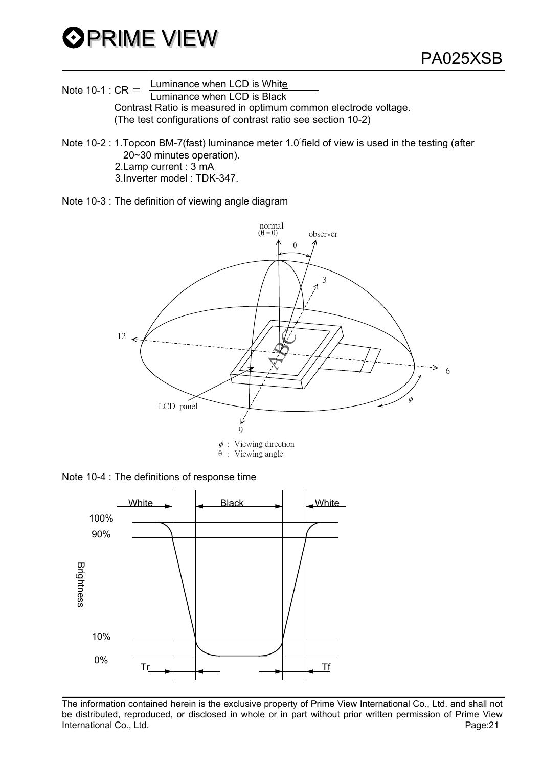

Note 10-1 :  $CR =$  Luminance when LCD is White  $LCD$  is Black

 Contrast Ratio is measured in optimum common electrode voltage. (The test configurations of contrast ratio see section 10-2)

Note 10-2 : 1. Topcon BM-7(fast) luminance meter 1.0 field of view is used in the testing (after 20~30 minutes operation). 2.Lamp current : 3 mA 3.Inverter model : TDK-347.

Note 10-3 : The definition of viewing angle diagram



: Viewing angle

Note 10-4 : The definitions of response time

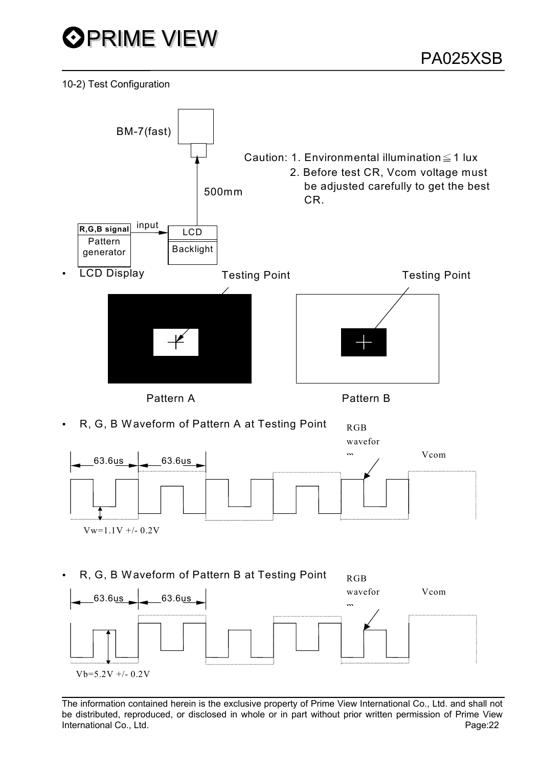

10-2) Test Configuration

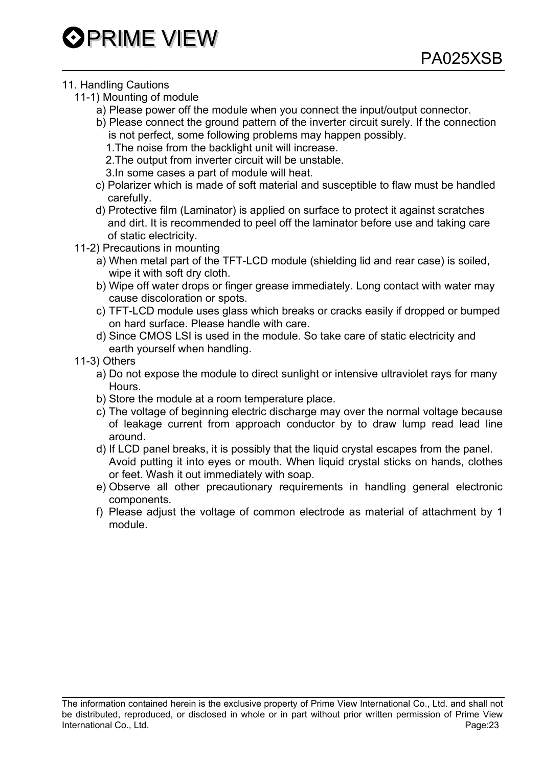# **OPRIME VIEW**

### 11. Handling Cautions

- 11-1) Mounting of module
	- a) Please power off the module when you connect the input/output connector.
	- b) Please connect the ground pattern of the inverter circuit surely. If the connection is not perfect, some following problems may happen possibly.
		- 1.The noise from the backlight unit will increase.
		- 2.The output from inverter circuit will be unstable.
		- 3.In some cases a part of module will heat.
	- c) Polarizer which is made of soft material and susceptible to flaw must be handled carefully.
	- d) Protective film (Laminator) is applied on surface to protect it against scratches and dirt. It is recommended to peel off the laminator before use and taking care of static electricity.
- 11-2) Precautions in mounting
	- a) When metal part of the TFT-LCD module (shielding lid and rear case) is soiled, wipe it with soft dry cloth.
	- b) Wipe off water drops or finger grease immediately. Long contact with water may cause discoloration or spots.
	- c) TFT-LCD module uses glass which breaks or cracks easily if dropped or bumped on hard surface. Please handle with care.
	- d) Since CMOS LSI is used in the module. So take care of static electricity and earth yourself when handling.
- 11-3) Others
	- a) Do not expose the module to direct sunlight or intensive ultraviolet rays for many **Hours**
	- b) Store the module at a room temperature place.
	- c) The voltage of beginning electric discharge may over the normal voltage because of leakage current from approach conductor by to draw lump read lead line around.
	- d) If LCD panel breaks, it is possibly that the liquid crystal escapes from the panel. Avoid putting it into eyes or mouth. When liquid crystal sticks on hands, clothes or feet. Wash it out immediately with soap.
	- e) Observe all other precautionary requirements in handling general electronic components.
	- f) Please adjust the voltage of common electrode as material of attachment by 1 module.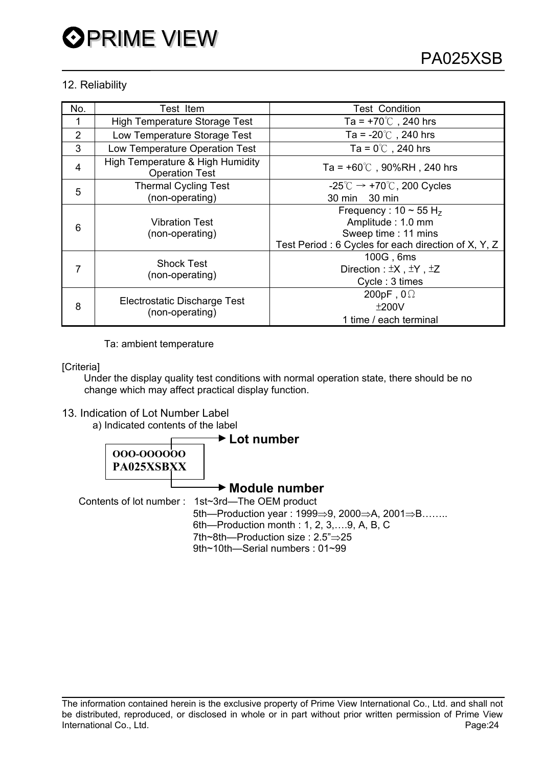### 12. Reliability

| No.            | Test Item                                                 | <b>Test Condition</b>                                                                                                                     |
|----------------|-----------------------------------------------------------|-------------------------------------------------------------------------------------------------------------------------------------------|
|                | <b>High Temperature Storage Test</b>                      | Ta = $+70^{\circ}$ , 240 hrs                                                                                                              |
| $\overline{2}$ | Low Temperature Storage Test                              | Ta = $-20^{\circ}$ , 240 hrs                                                                                                              |
| 3              | Low Temperature Operation Test                            | Ta = $0^{\circ}$ C, 240 hrs                                                                                                               |
| 4              | High Temperature & High Humidity<br><b>Operation Test</b> | Ta = $+60^{\circ}$ C, 90%RH, 240 hrs                                                                                                      |
| 5              | <b>Thermal Cycling Test</b>                               | $-25^{\circ}$ C $\rightarrow$ +70 $^{\circ}$ C, 200 Cycles                                                                                |
|                | (non-operating)                                           | 30 min 30 min                                                                                                                             |
| 6              | <b>Vibration Test</b><br>(non-operating)                  | Frequency: $10 \sim 55$ H <sub>z</sub><br>Amplitude: 1.0 mm<br>Sweep time: 11 mins<br>Test Period: 6 Cycles for each direction of X, Y, Z |
|                | <b>Shock Test</b><br>(non-operating)                      | 100G, 6ms<br>Direction: ±X, ±Y, ±Z<br>Cycle: 3 times                                                                                      |
| 8              | Electrostatic Discharge Test<br>(non-operating)           | 200pF, $0\Omega$<br>±200V<br>1 time / each terminal                                                                                       |

Ta: ambient temperature

[Criteria]

 Under the display quality test conditions with normal operation state, there should be no change which may affect practical display function.

### 13. Indication of Lot Number Label

a) Indicated contents of the label

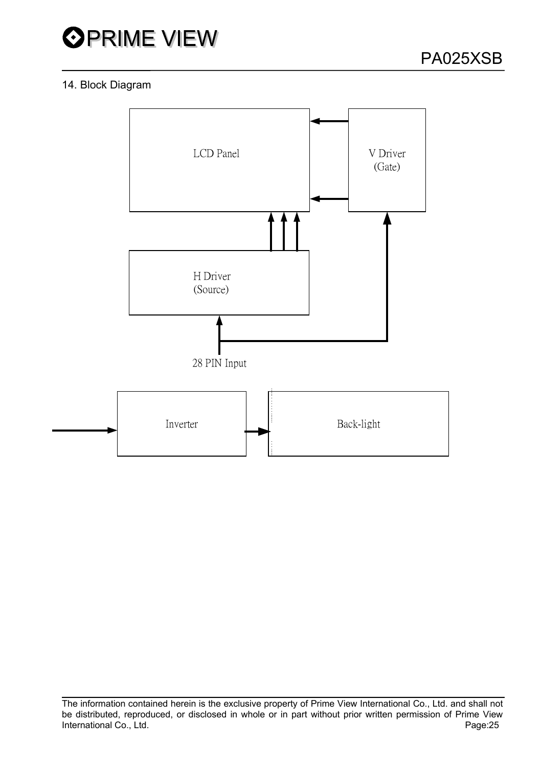

### 14. Block Diagram

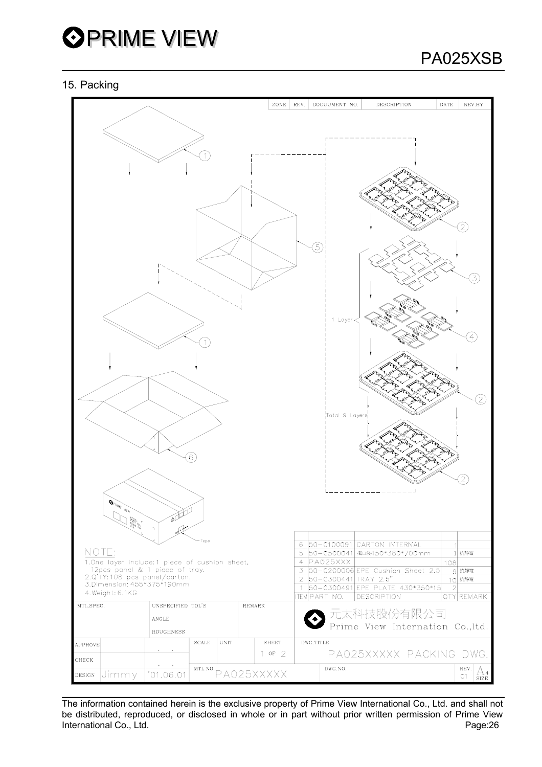

### 15. Packing



The information contained herein is the exclusive property of Prime View International Co., Ltd. and shall not be distributed, reproduced, or disclosed in whole or in part without prior written permission of Prime View International Co., Ltd. Page:26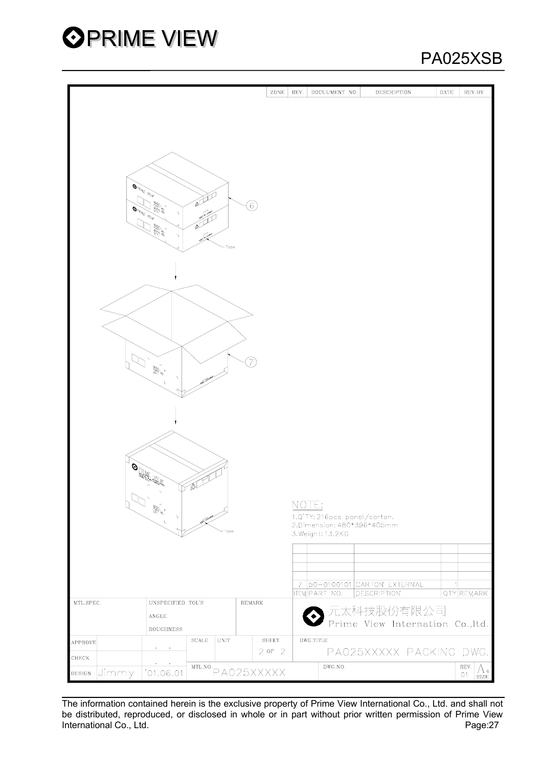

## PA025XSB

|                         |                                                                                                                                                                                                                                                                                                                                                                                  | ZONE         | REV.  | DOCUUMENT NO.                                   | <b>DESCRIPTION</b>               | DATE | REV.BY     |
|-------------------------|----------------------------------------------------------------------------------------------------------------------------------------------------------------------------------------------------------------------------------------------------------------------------------------------------------------------------------------------------------------------------------|--------------|-------|-------------------------------------------------|----------------------------------|------|------------|
|                         |                                                                                                                                                                                                                                                                                                                                                                                  |              |       |                                                 |                                  |      |            |
|                         |                                                                                                                                                                                                                                                                                                                                                                                  |              |       |                                                 |                                  |      |            |
|                         |                                                                                                                                                                                                                                                                                                                                                                                  |              |       |                                                 |                                  |      |            |
|                         |                                                                                                                                                                                                                                                                                                                                                                                  |              |       |                                                 |                                  |      |            |
|                         |                                                                                                                                                                                                                                                                                                                                                                                  |              |       |                                                 |                                  |      |            |
|                         |                                                                                                                                                                                                                                                                                                                                                                                  |              |       |                                                 |                                  |      |            |
| <b>OPRIME WEW</b>       |                                                                                                                                                                                                                                                                                                                                                                                  |              |       |                                                 |                                  |      |            |
|                         | and the<br><b>25420</b><br>6)                                                                                                                                                                                                                                                                                                                                                    |              |       |                                                 |                                  |      |            |
| <b>OPRIME MEW</b>       | .<br>D<br>٦                                                                                                                                                                                                                                                                                                                                                                      |              |       |                                                 |                                  |      |            |
|                         | سكها<br><b>SORIA</b>                                                                                                                                                                                                                                                                                                                                                             |              |       |                                                 |                                  |      |            |
|                         | سينوس<br>ኀ<br>Tape                                                                                                                                                                                                                                                                                                                                                               |              |       |                                                 |                                  |      |            |
|                         |                                                                                                                                                                                                                                                                                                                                                                                  |              |       |                                                 |                                  |      |            |
|                         |                                                                                                                                                                                                                                                                                                                                                                                  |              |       |                                                 |                                  |      |            |
|                         |                                                                                                                                                                                                                                                                                                                                                                                  |              |       |                                                 |                                  |      |            |
|                         |                                                                                                                                                                                                                                                                                                                                                                                  |              |       |                                                 |                                  |      |            |
|                         |                                                                                                                                                                                                                                                                                                                                                                                  |              |       |                                                 |                                  |      |            |
|                         |                                                                                                                                                                                                                                                                                                                                                                                  |              |       |                                                 |                                  |      |            |
|                         |                                                                                                                                                                                                                                                                                                                                                                                  |              |       |                                                 |                                  |      |            |
|                         |                                                                                                                                                                                                                                                                                                                                                                                  |              |       |                                                 |                                  |      |            |
| ╰╢                      | T,                                                                                                                                                                                                                                                                                                                                                                               |              |       |                                                 |                                  |      |            |
|                         | $\begin{matrix} 1 & 0 \\ 0 & 0 \\ 0 & 0 \\ 0 & 0 \\ 0 & 0 \\ 0 & 0 \\ 0 & 0 \\ 0 & 0 \\ 0 & 0 \\ 0 & 0 \\ 0 & 0 \\ 0 & 0 \\ 0 & 0 \\ 0 & 0 \\ 0 & 0 \\ 0 & 0 \\ 0 & 0 \\ 0 & 0 \\ 0 & 0 \\ 0 & 0 \\ 0 & 0 \\ 0 & 0 \\ 0 & 0 \\ 0 & 0 \\ 0 & 0 \\ 0 & 0 \\ 0 & 0 \\ 0 & 0 \\ 0 & 0 \\ 0 & 0 \\ 0 & 0 \\ 0 & 0 \\ 0 & 0 \\ 0 & 0 \\ 0 & 0 \\ 0 & 0$<br>$\mathcal{L}_{\mathcal{A}}$ |              |       |                                                 |                                  |      |            |
|                         | ι                                                                                                                                                                                                                                                                                                                                                                                |              |       |                                                 |                                  |      |            |
|                         |                                                                                                                                                                                                                                                                                                                                                                                  |              |       |                                                 |                                  |      |            |
|                         |                                                                                                                                                                                                                                                                                                                                                                                  |              |       |                                                 |                                  |      |            |
|                         |                                                                                                                                                                                                                                                                                                                                                                                  |              |       |                                                 |                                  |      |            |
|                         |                                                                                                                                                                                                                                                                                                                                                                                  |              |       |                                                 |                                  |      |            |
|                         |                                                                                                                                                                                                                                                                                                                                                                                  |              |       |                                                 |                                  |      |            |
|                         |                                                                                                                                                                                                                                                                                                                                                                                  |              |       |                                                 |                                  |      |            |
|                         | <b>OPPIE HELL</b>                                                                                                                                                                                                                                                                                                                                                                |              |       |                                                 |                                  |      |            |
|                         | VA                                                                                                                                                                                                                                                                                                                                                                               |              |       |                                                 |                                  |      |            |
|                         | <b>SARRANGE I</b>                                                                                                                                                                                                                                                                                                                                                                |              | NOTE: |                                                 |                                  |      |            |
|                         |                                                                                                                                                                                                                                                                                                                                                                                  |              |       | 1.Q'TY: 216pcs panel/carton.                    |                                  |      |            |
|                         | Tope                                                                                                                                                                                                                                                                                                                                                                             |              |       | 2.Dimension: 480*396*405mm<br>3. Weight: 13.2KG |                                  |      |            |
|                         |                                                                                                                                                                                                                                                                                                                                                                                  |              |       |                                                 |                                  |      |            |
|                         |                                                                                                                                                                                                                                                                                                                                                                                  |              |       |                                                 |                                  |      |            |
|                         |                                                                                                                                                                                                                                                                                                                                                                                  |              |       |                                                 |                                  |      |            |
|                         |                                                                                                                                                                                                                                                                                                                                                                                  |              | 7     |                                                 | 50-0100101 CARTON EXTERNAL       |      |            |
| MTL.SPEC.               | UNSPECIFIED TOL'S<br>REMARK                                                                                                                                                                                                                                                                                                                                                      |              |       | <b>TEM PART NO.</b>                             | <b>DESCRIPTION</b>               |      | QTY REMARK |
|                         |                                                                                                                                                                                                                                                                                                                                                                                  |              |       |                                                 | 元太科技股份有限公司                       |      |            |
|                         | $\operatorname{\mathsf{ANGLE}}$                                                                                                                                                                                                                                                                                                                                                  |              |       |                                                 | Prime View Internation Co., ltd. |      |            |
|                         | ROUGHNESS<br>$\operatorname{\mathbf{SCALE}}$<br>UNIT                                                                                                                                                                                                                                                                                                                             | <b>SHEET</b> |       | DWG.TITLE                                       |                                  |      |            |
| APPROVE                 | ۰<br>$\sim$                                                                                                                                                                                                                                                                                                                                                                      | $2$ or $2$   |       |                                                 | PA025XXXXX PACKING DWG.          |      |            |
| CHECK                   | MTL.NO.                                                                                                                                                                                                                                                                                                                                                                          |              |       | DWG.NO.                                         |                                  |      | REV.       |
| Jimmy<br>$_{\rm DESIG}$ | PA025XXXXX<br>'01.06.01                                                                                                                                                                                                                                                                                                                                                          |              |       |                                                 |                                  |      | 01         |